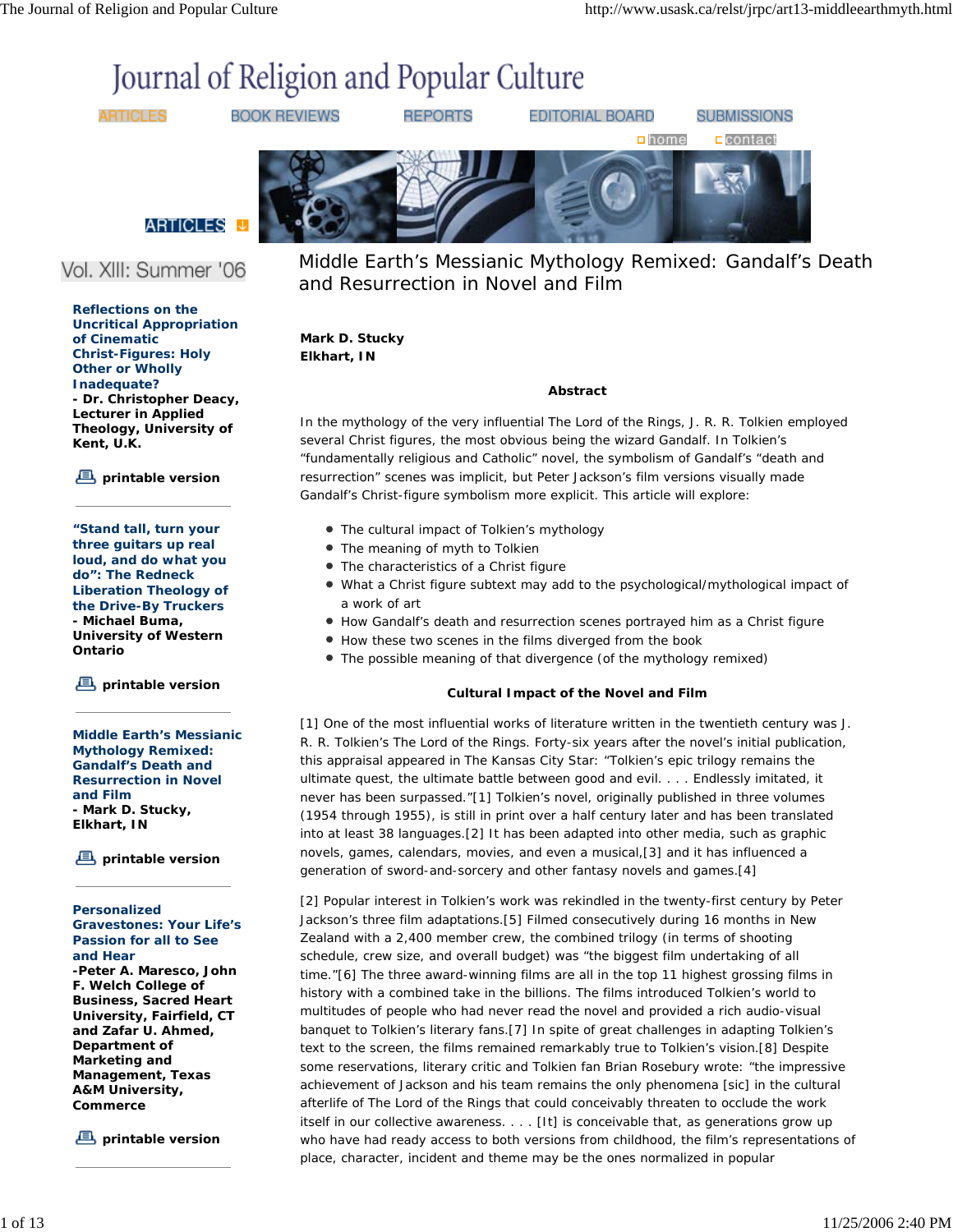# Journal of Religion and Popular Culture

**ARTICLES** 

**BOOK REVIEWS** 

**REPORTS** 

EDITORIAL BOARD

**SUBMISSIONS** 



**ARTICLES** 

## Vol. XIII: Summer '06

**Reflections on the Uncritical Appropriation of Cinematic Christ-Figures: Holy Other or Wholly Inadequate? - Dr. Christopher Deacy, Lecturer in Applied Theology, University of Kent, U.K.**

**printable version**

**"Stand tall, turn your three guitars up real loud, and do what you do": The Redneck Liberation Theology of the Drive-By Truckers - Michael Buma, University of Western Ontario**

**printable version**

**Middle Earth's Messianic Mythology Remixed: Gandalf's Death and Resurrection in Novel and Film - Mark D. Stucky, Elkhart, IN**

**printable version**

#### **Personalized Gravestones: Your Life's Passion for all to See and Hear -Peter A. Maresco, John F. Welch College of Business, Sacred Heart University, Fairfield, CT and Zafar U. Ahmed, Department of Marketing and Management, Texas A&M University, Commerce**

**printable version**

Middle Earth's Messianic Mythology Remixed: Gandalf's Death and Resurrection in Novel and Film

#### **Mark D. Stucky Elkhart, IN**

#### *Abstract*

In the mythology of the very influential *The Lord of the Rings*, J. R. R. Tolkien employed several Christ figures, the most obvious being the wizard Gandalf. In Tolkien's "fundamentally religious and Catholic" novel, the symbolism of Gandalf's "death and resurrection" scenes was implicit, but Peter Jackson's film versions visually made Gandalf's Christ-figure symbolism more explicit. This article will explore:

- The cultural impact of Tolkien's mythology
- The meaning of myth to Tolkien
- The characteristics of a Christ figure
- What a Christ figure subtext may add to the psychological/mythological impact of a work of art
- How Gandalf's death and resurrection scenes portrayed him as a Christ figure
- How these two scenes in the films diverged from the book
- The possible meaning of that divergence (of the mythology remixed)

### *Cultural Impact of the Novel and Film*

[1] One of the most influential works of literature written in the twentieth century was J. R. R. Tolkien's *The Lord of the Rings*. Forty-six years after the novel's initial publication, this appraisal appeared in *The Kansas City Star*: "Tolkien's epic trilogy remains the ultimate quest, the ultimate battle between good and evil. . . . Endlessly imitated, it never has been surpassed."[1] Tolkien's novel, originally published in three volumes (1954 through 1955), is still in print over a half century later and has been translated into at least 38 languages.[2] It has been adapted into other media, such as graphic novels, games, calendars, movies, and even a musical,[3] and it has influenced a generation of sword-and-sorcery and other fantasy novels and games.[4]

[2] Popular interest in Tolkien's work was rekindled in the twenty-first century by Peter Jackson's three film adaptations.[5] Filmed consecutively during 16 months in New Zealand with a 2,400 member crew, the combined trilogy (in terms of shooting schedule, crew size, and overall budget) was "the biggest film undertaking of all time."[6] The three award-winning films are all in the top 11 highest grossing films in history with a combined take in the billions. The films introduced Tolkien's world to multitudes of people who had never read the novel and provided a rich audio-visual banquet to Tolkien's literary fans.[7] In spite of great challenges in adapting Tolkien's text to the screen, the films remained remarkably true to Tolkien's vision.[8] Despite some reservations, literary critic and Tolkien fan Brian Rosebury wrote: "the impressive achievement of Jackson and his team remains the only phenomena [*sic*] in the cultural afterlife of *The Lord of the Rings* that could conceivably threaten to occlude the work itself in our collective awareness. . . . [It] is conceivable that, as generations grow up who have had ready access to both versions from childhood, the film's representations of place, character, incident and theme may be the ones normalized in popular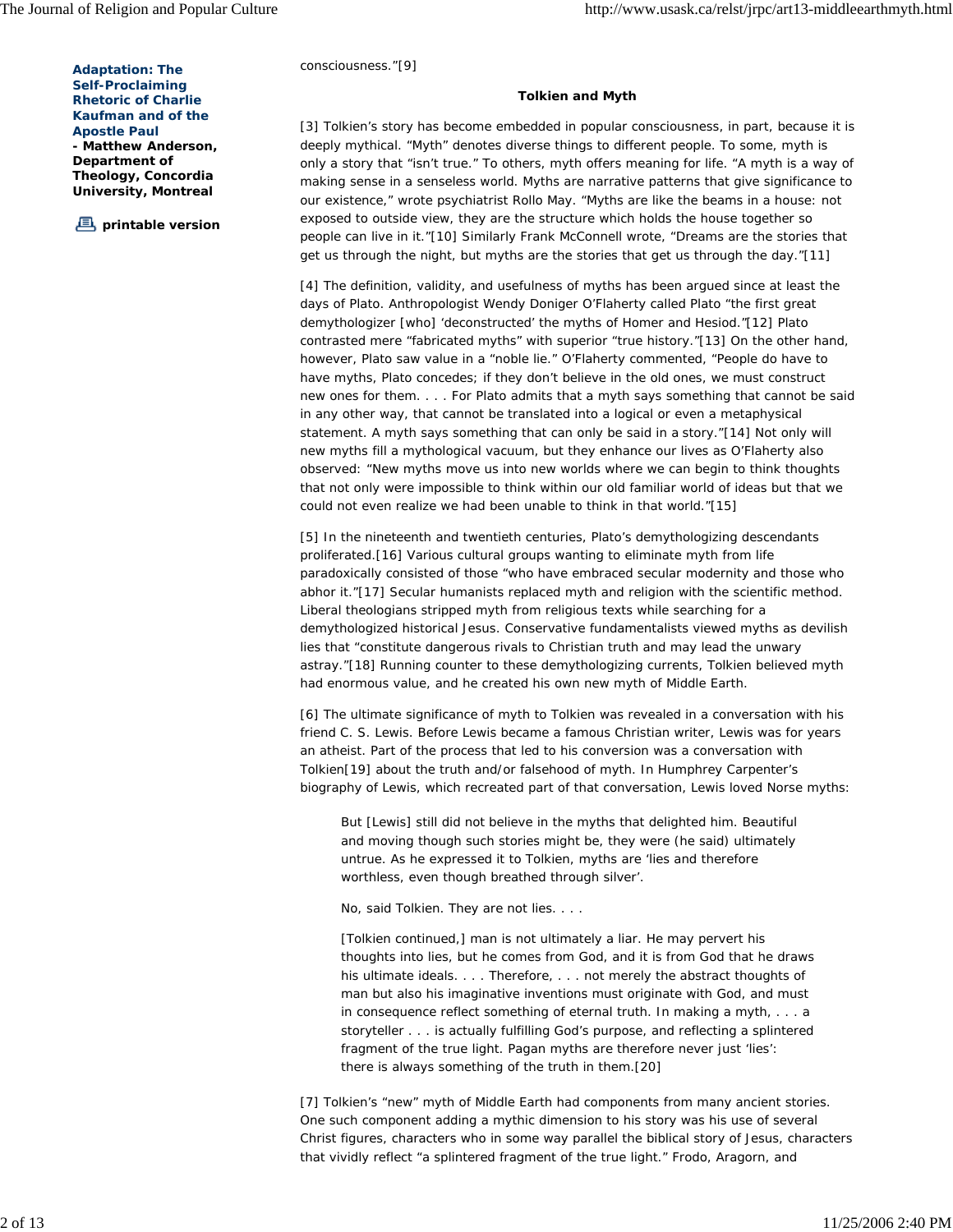consciousness."[9]

**Adaptation:** *The Self-Proclaiming Rhetoric of Charlie Kaufman and of the Apostle Paul* **- Matthew Anderson, Department of Theology, Concordia University, Montreal**

**printable version**

#### *Tolkien and Myth*

[3] Tolkien's story has become embedded in popular consciousness, in part, because it is deeply mythical. "Myth" denotes diverse things to different people. To some, myth is only a story that "isn't true." To others, myth offers meaning for life. "A myth is a way of making sense in a senseless world. Myths are narrative patterns that give significance to our existence," wrote psychiatrist Rollo May. "Myths are like the beams in a house: not exposed to outside view, they are the structure which holds the house together so people can live in it."[10] Similarly Frank McConnell wrote, "Dreams are the stories that get us through the night, but myths are the stories that get us through the day."[11]

[4] The definition, validity, and usefulness of myths has been argued since at least the days of Plato. Anthropologist Wendy Doniger O'Flaherty called Plato "the first great demythologizer [who] 'deconstructed' the myths of Homer and Hesiod."[12] Plato contrasted mere "fabricated myths" with superior "true history."[13] On the other hand, however, Plato saw value in a "noble lie." O'Flaherty commented, "People do have to have myths, Plato concedes; if they don't believe in the old ones, we must construct new ones for them. . . . For Plato admits that a myth says something that cannot be said in any other way, that cannot be translated into a logical or even a metaphysical statement. A myth says something that can only be said in a *story*."[14] Not only will new myths fill a mythological vacuum, but they enhance our lives as O'Flaherty also observed: "New myths move us into new worlds where we can begin to think thoughts that not only were impossible to think within our old familiar world of ideas but that we could not even realize we had been unable to think in that world."[15]

[5] In the nineteenth and twentieth centuries, Plato's demythologizing descendants proliferated.[16] Various cultural groups wanting to eliminate myth from life paradoxically consisted of those "who have embraced secular modernity and those who abhor it."[17] Secular humanists replaced myth and religion with the scientific method. Liberal theologians stripped myth from religious texts while searching for a demythologized historical Jesus. Conservative fundamentalists viewed myths as devilish lies that "constitute dangerous rivals to Christian truth and may lead the unwary astray."[18] Running counter to these demythologizing currents, Tolkien believed myth had enormous value, and he created his own new myth of Middle Earth.

[6] The ultimate significance of myth to Tolkien was revealed in a conversation with his friend C. S. Lewis. Before Lewis became a famous Christian writer, Lewis was for years an atheist. Part of the process that led to his conversion was a conversation with Tolkien[19] about the truth and/or falsehood of myth. In Humphrey Carpenter's biography of Lewis, which recreated part of that conversation, Lewis loved Norse myths:

But [Lewis] still did not *believe* in the myths that delighted him. Beautiful and moving though such stories might be, they were (he said) ultimately untrue. As he expressed it to Tolkien, myths are 'lies and therefore worthless, even though breathed through silver'.

*No*, said Tolkien. *They are not lies*. . . .

[Tolkien continued,] man is not ultimately a liar. He may pervert his thoughts into lies, but he comes from God, and it is from God that he draws his ultimate ideals. . . . Therefore, . . . not merely the abstract thoughts of man *but also his imaginative inventions* must originate with God, and must in consequence reflect something of eternal truth. In making a myth, . . . a storyteller . . . is actually fulfilling God's purpose, and reflecting a splintered fragment of the true light. Pagan myths are therefore never just 'lies': there is always something of the truth in them.[20]

[7] Tolkien's "new" myth of Middle Earth had components from many ancient stories. One such component adding a mythic dimension to his story was his use of several Christ figures, characters who in some way parallel the biblical story of Jesus, characters that vividly reflect "a splintered fragment of the true light." Frodo, Aragorn, and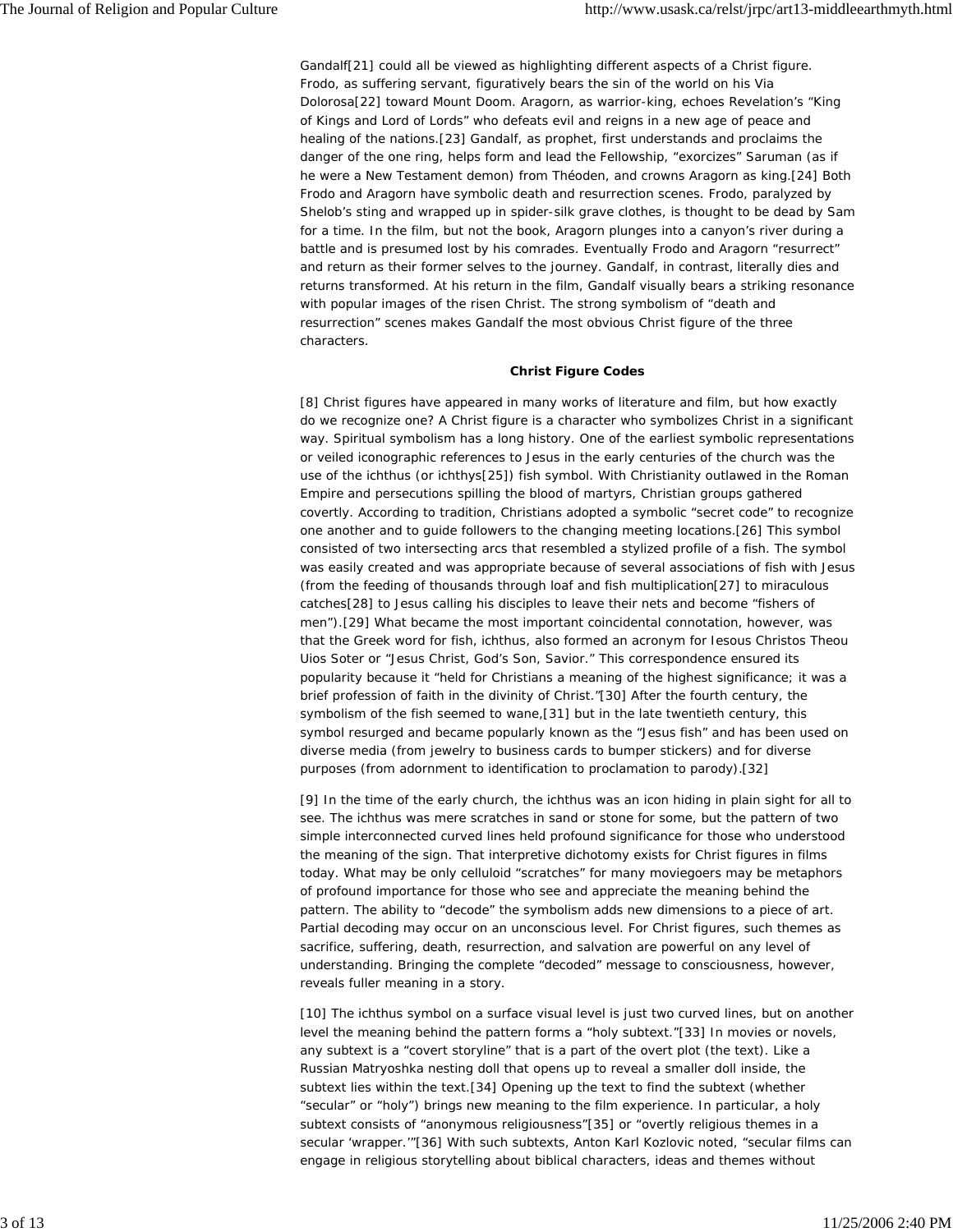Gandalf[21] could all be viewed as highlighting different aspects of a Christ figure. Frodo, as suffering servant, figuratively bears the sin of the world on his Via Dolorosa[22] toward Mount Doom. Aragorn, as warrior-king, echoes Revelation's "King of Kings and Lord of Lords" who defeats evil and reigns in a new age of peace and healing of the nations.[23] Gandalf, as prophet, first understands and proclaims the danger of the one ring, helps form and lead the Fellowship, "exorcizes" Saruman (as if he were a New Testament demon) from Théoden, and crowns Aragorn as king.[24] Both Frodo and Aragorn have *symbolic* death and resurrection scenes. Frodo, paralyzed by Shelob's sting and wrapped up in spider-silk grave clothes, is thought to be dead by Sam for a time. In the film, but not the book, Aragorn plunges into a canyon's river during a battle and is presumed lost by his comrades. Eventually Frodo and Aragorn "resurrect" and return as their former selves to the journey. Gandalf, in contrast, *literally* dies and returns transformed. At his return in the film, Gandalf visually bears a striking resonance with popular images of the risen Christ. The strong symbolism of "death and resurrection" scenes makes Gandalf the most obvious Christ figure of the three characters.

#### *Christ Figure Codes*

[8] Christ figures have appeared in many works of literature and film, but how exactly do we recognize one? A Christ figure is a character who symbolizes Christ in a significant way. Spiritual symbolism has a long history. One of the earliest symbolic representations or veiled iconographic references to Jesus in the early centuries of the church was the use of the *ichthus* (or *ichthys*[25]) fish symbol. With Christianity outlawed in the Roman Empire and persecutions spilling the blood of martyrs, Christian groups gathered covertly. According to tradition, Christians adopted a symbolic "secret code" to recognize one another and to guide followers to the changing meeting locations.[26] This symbol consisted of two intersecting arcs that resembled a stylized profile of a fish. The symbol was easily created and was appropriate because of several associations of fish with Jesus (from the feeding of thousands through loaf and fish multiplication[27] to miraculous catches[28] to Jesus calling his disciples to leave their nets and become "fishers of men").[29] What became the most important coincidental connotation, however, was that the Greek word for fish, *ichthus*, also formed an acronym for *Iesous Christos Theou Uios Soter* or "Jesus Christ, God's Son, Savior." This correspondence ensured its popularity because it "held for Christians a meaning of the highest significance; it was a brief profession of faith in the divinity of Christ."[30] After the fourth century, the symbolism of the fish seemed to wane,[31] but in the late twentieth century, this symbol resurged and became popularly known as the "Jesus fish" and has been used on diverse media (from jewelry to business cards to bumper stickers) and for diverse purposes (from adornment to identification to proclamation to parody).[32]

[9] In the time of the early church, the *ichthus* was an icon hiding in plain sight for all to see. The *ichthus* was mere scratches in sand or stone for some, but the pattern of two simple interconnected curved lines held profound significance for those who understood the meaning of the sign. That interpretive dichotomy exists for Christ figures in films today. What may be only celluloid "scratches" for many moviegoers may be metaphors of profound importance for those who see and appreciate the meaning behind the pattern. The ability to "decode" the symbolism adds new dimensions to a piece of art. Partial decoding may occur on an unconscious level. For Christ figures, such themes as sacrifice, suffering, death, resurrection, and salvation are powerful on any level of understanding. Bringing the complete "decoded" message to consciousness, however, reveals fuller meaning in a story.

[10] The *ichthus* symbol on a surface visual level is just two curved lines, but on another level the meaning behind the pattern forms a "holy subtext."[33] In movies or novels, any subtext is a "covert storyline" that is a part of the overt plot (the text). Like a Russian Matryoshka nesting doll that opens up to reveal a smaller doll inside, the subtext lies within the text.[34] Opening up the text to find the subtext (whether "secular" or "holy") brings new meaning to the film experience. In particular, a *holy* subtext consists of "anonymous religiousness"[35] or "overtly religious themes in a secular 'wrapper.'"[36] With such subtexts, Anton Karl Kozlovic noted, "secular films can engage in religious storytelling about biblical characters, ideas and themes without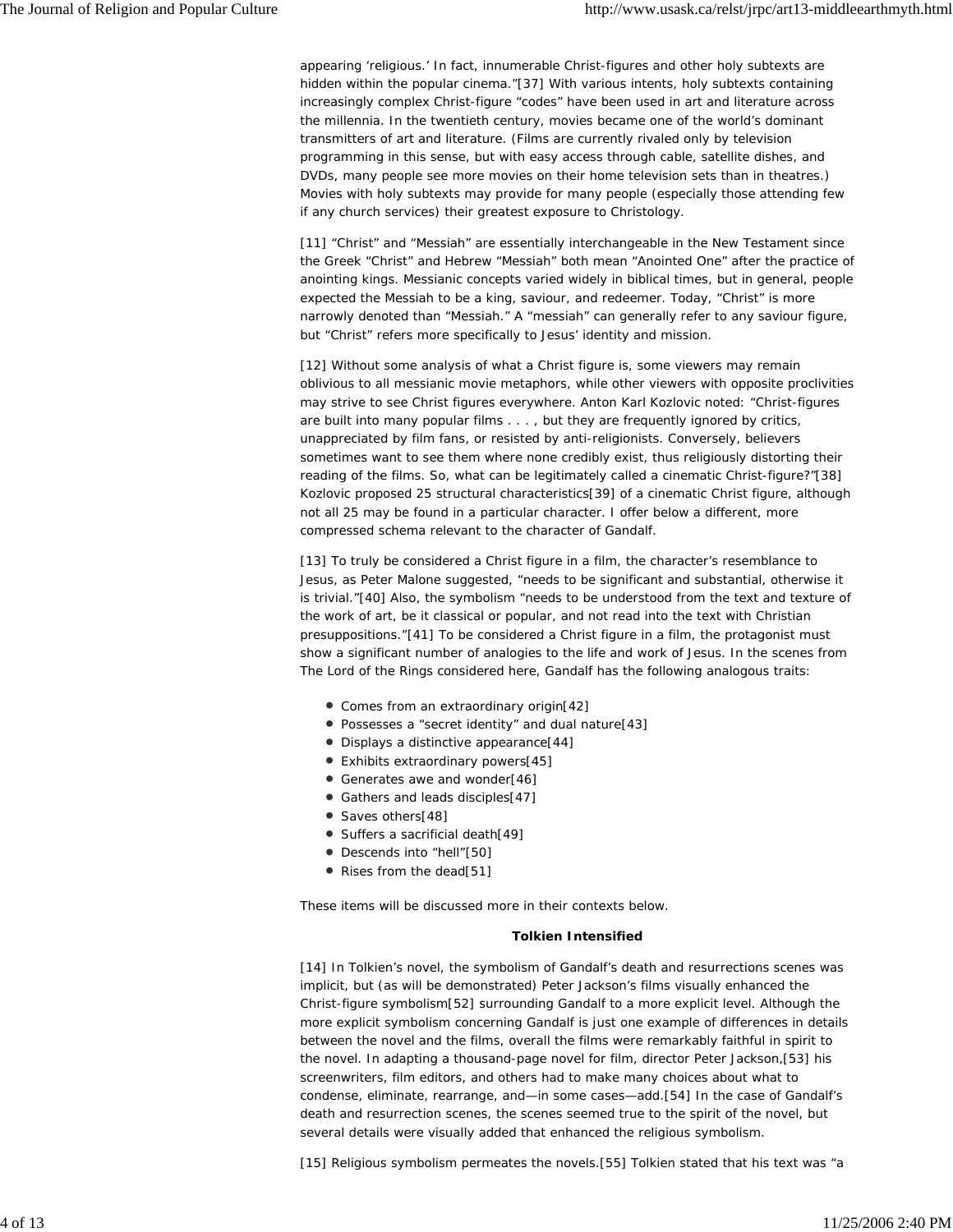appearing 'religious.' In fact, innumerable Christ-figures and other holy subtexts are hidden within the popular cinema."[37] With various intents, holy subtexts containing increasingly complex Christ-figure "codes" have been used in art and literature across the millennia. In the twentieth century, movies became one of the world's dominant transmitters of art and literature. (Films are currently rivaled only by television programming in this sense, but with easy access through cable, satellite dishes, and DVDs, many people see more movies on their home television sets than in theatres.) Movies with holy subtexts may provide for many people (especially those attending few if any church services) their greatest exposure to Christology.

[11] "Christ" and "Messiah" are essentially interchangeable in the New Testament since the Greek "Christ" and Hebrew "Messiah" both mean "Anointed One" after the practice of anointing kings. Messianic concepts varied widely in biblical times, but in general, people expected the Messiah to be a king, saviour, and redeemer. Today, "Christ" is more narrowly denoted than "Messiah." A "messiah" can generally refer to any saviour figure, but "Christ" refers more specifically to Jesus' identity and mission.

[12] Without some analysis of what a Christ figure is, some viewers may remain oblivious to all messianic movie metaphors, while other viewers with opposite proclivities may strive to see Christ figures everywhere. Anton Karl Kozlovic noted: "Christ-figures are built into many popular films . . . , but they are frequently ignored by critics, unappreciated by film fans, or resisted by anti-religionists. Conversely, believers sometimes want to see them where none credibly exist, thus religiously distorting their reading of the films. So, what can be legitimately called a cinematic Christ-figure?"[38] Kozlovic proposed 25 structural characteristics[39] of a cinematic Christ figure, although not all 25 may be found in a particular character. I offer below a different, more compressed schema relevant to the character of Gandalf.

[13] To truly be considered a Christ figure in a film, the character's resemblance to Jesus, as Peter Malone suggested, "needs to be significant and substantial, otherwise it is trivial."[40] Also, the symbolism "needs to be understood from the text and texture of the work of art, be it classical or popular, and not read into the text with Christian presuppositions."[41] To be considered a Christ figure in a film, the protagonist must show a significant number of analogies to the life and work of Jesus. In the scenes from *The Lord of the Rings* considered here, Gandalf has the following analogous traits:

- Comes from an extraordinary origin[42]
- Possesses a "secret identity" and dual nature[43]
- Displays a distinctive appearance[44]
- Exhibits extraordinary powers[45]
- Generates awe and wonder[46]
- Gathers and leads disciples[47]
- Saves others[48]
- Suffers a sacrificial death[49]
- Descends into "hell"[50]
- Rises from the dead[51]

These items will be discussed more in their contexts below.

#### *Tolkien Intensified*

[14] In Tolkien's novel, the symbolism of Gandalf's death and resurrections scenes was implicit, but (as will be demonstrated) Peter Jackson's films visually enhanced the Christ-figure symbolism[52] surrounding Gandalf to a more explicit level. Although the more explicit symbolism concerning Gandalf is just one example of differences in details between the novel and the films, overall the films were remarkably faithful in spirit to the novel. In adapting a thousand-page novel for film, director Peter Jackson,[53] his screenwriters, film editors, and others had to make many choices about what to condense, eliminate, rearrange, and—in some cases—add.[54] In the case of Gandalf's death and resurrection scenes, the scenes seemed true to the spirit of the novel, but several details were visually added that enhanced the religious symbolism.

[15] Religious symbolism permeates the novels.[55] Tolkien stated that his text was "a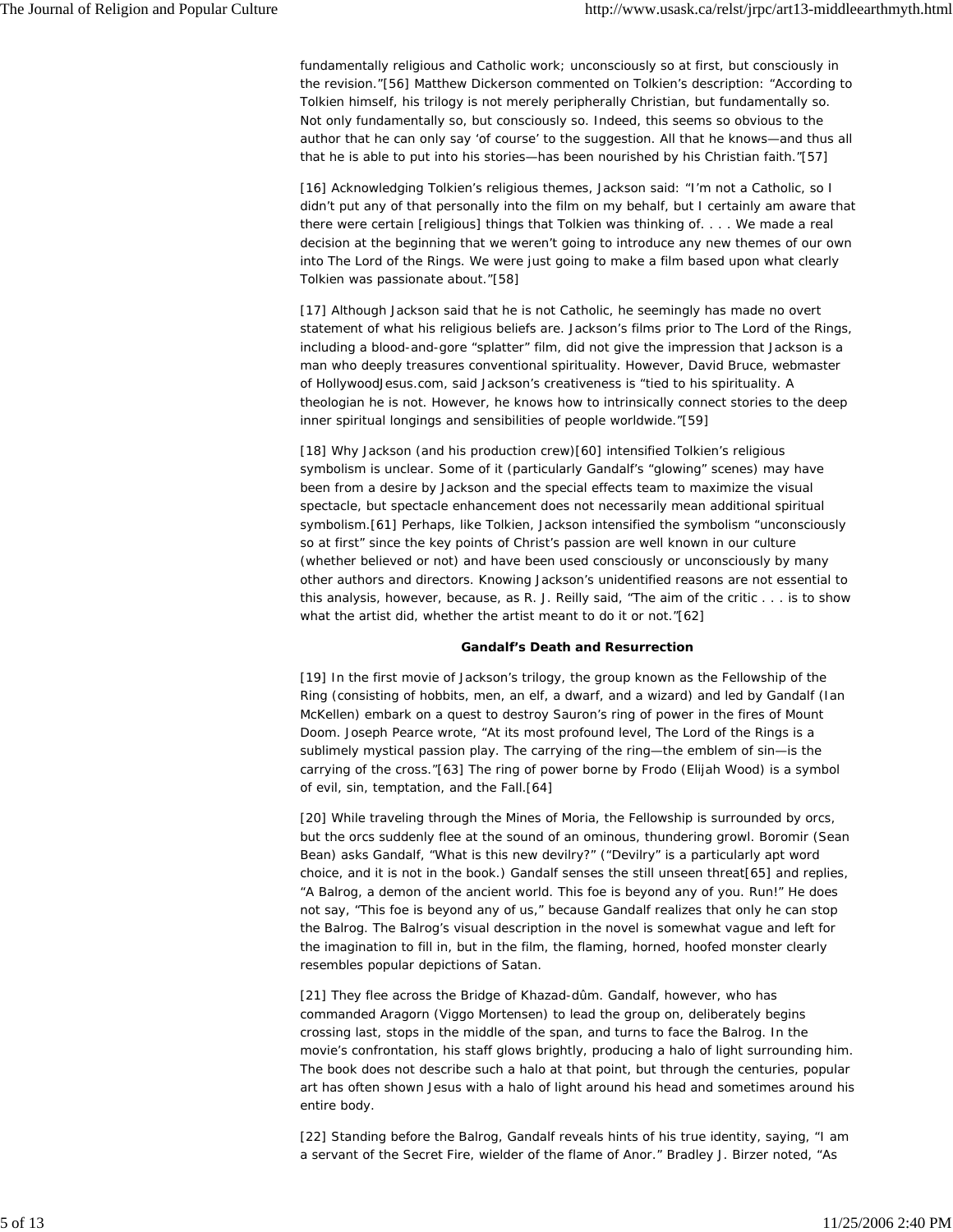fundamentally religious and Catholic work; unconsciously so at first, but consciously in the revision."[56] Matthew Dickerson commented on Tolkien's description: "According to Tolkien himself, his trilogy is not merely peripherally Christian, but fundamentally so. Not only fundamentally so, but consciously so. Indeed, this seems so obvious to the author that he can only say 'of course' to the suggestion. All that he knows—and thus all that he is able to put into his stories—has been nourished by his Christian faith."[57]

[16] Acknowledging Tolkien's religious themes, Jackson said: "I'm not a Catholic, so I didn't put any of that personally into the film on my behalf, but I certainly am aware that there were certain [religious] things that Tolkien was thinking of. . . . We made a real decision at the beginning that we weren't going to introduce any new themes of our own into *The Lord of the Rings*. We were just going to make a film based upon what clearly Tolkien was passionate about."[58]

[17] Although Jackson said that he is *not* Catholic, he seemingly has made no overt statement of what his religious beliefs *are*. Jackson's films prior to *The Lord of the Rings*, including a blood-and-gore "splatter" film, did not give the impression that Jackson is a man who deeply treasures conventional spirituality. However, David Bruce, webmaster of *HollywoodJesus.com*, said Jackson's creativeness is "tied to his spirituality. A theologian he is not. However, he knows how to intrinsically connect stories to the deep inner spiritual longings and sensibilities of people worldwide."[59]

[18] Why Jackson (and his production crew)[60] intensified Tolkien's religious symbolism is unclear. Some of it (particularly Gandalf's "glowing" scenes) may have been from a desire by Jackson and the special effects team to maximize the visual spectacle, but spectacle enhancement does not necessarily mean additional spiritual symbolism.[61] Perhaps, like Tolkien, Jackson intensified the symbolism "unconsciously so at first" since the key points of Christ's passion are well known in our culture (whether believed or not) and have been used consciously or unconsciously by many other authors and directors. Knowing Jackson's unidentified reasons are not essential to this analysis, however, because, as R. J. Reilly said, "The aim of the critic . . . is to show what the artist did, whether the artist meant to do it or not."[62]

#### *Gandalf's Death and Resurrection*

[19] In the first movie of Jackson's trilogy, the group known as the Fellowship of the Ring (consisting of hobbits, men, an elf, a dwarf, and a wizard) and led by Gandalf (Ian McKellen) embark on a quest to destroy Sauron's ring of power in the fires of Mount Doom. Joseph Pearce wrote, "At its most profound level, *The Lord of the Rings* is a sublimely mystical passion play. The carrying of the ring—the emblem of sin—is the carrying of the cross."[63] The ring of power borne by Frodo (Elijah Wood) is a symbol of evil, sin, temptation, and the Fall.[64]

[20] While traveling through the Mines of Moria, the Fellowship is surrounded by orcs, but the orcs suddenly flee at the sound of an ominous, thundering growl. Boromir (Sean Bean) asks Gandalf, "What is this new devilry?" ("Devilry" is a particularly apt word choice, and it is not in the book.) Gandalf senses the still unseen threat[65] and replies, "A Balrog, a demon of the ancient world. This foe is beyond any of you. Run!" He does not say, "This foe is beyond any of *us*," because Gandalf realizes that only he can stop the Balrog. The Balrog's visual description in the novel is somewhat vague and left for the imagination to fill in, but in the film, the flaming, horned, hoofed monster clearly resembles popular depictions of Satan.

[21] They flee across the Bridge of Khazad-dûm. Gandalf, however, who has commanded Aragorn (Viggo Mortensen) to lead the group on, deliberately begins crossing last, stops in the middle of the span, and turns to face the Balrog. In the movie's confrontation, his staff glows brightly, producing a halo of light surrounding him. The book does not describe such a halo at that point, but through the centuries, popular art has often shown Jesus with a halo of light around his head and sometimes around his entire body.

[22] Standing before the Balrog, Gandalf reveals hints of his true identity, saying, "I am a servant of the Secret Fire, wielder of the flame of Anor." Bradley J. Birzer noted, "As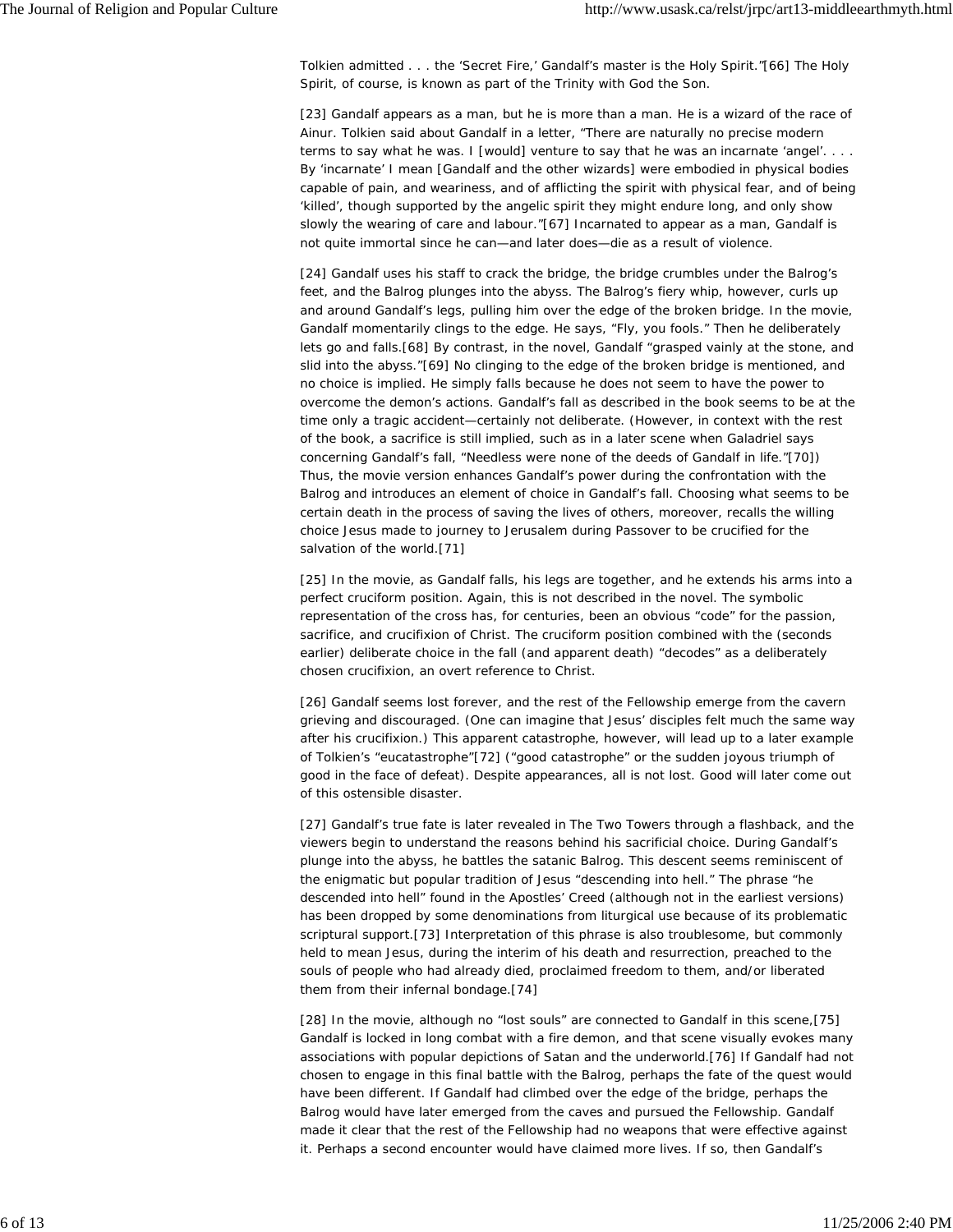Tolkien admitted . . . the 'Secret Fire,' Gandalf's master is the Holy Spirit."[66] The Holy Spirit, of course, is known as part of the Trinity with God the Son.

[23] Gandalf appears as a man, but he is more than a man. He is a wizard of the race of Ainur. Tolkien said about Gandalf in a letter, "There are naturally no precise modern terms to say what he was. I [would] venture to say that he was an *incarnate* 'angel'. . . . By 'incarnate' I mean [Gandalf and the other wizards] were embodied in physical bodies capable of pain, and weariness, and of afflicting the spirit with physical fear, and of being 'killed', though supported by the angelic spirit they might endure long, and only show slowly the wearing of care and labour."[67] Incarnated to appear as a man, Gandalf is not quite immortal since he can—and later does—die as a result of violence.

[24] Gandalf uses his staff to crack the bridge, the bridge crumbles under the Balrog's feet, and the Balrog plunges into the abyss. The Balrog's fiery whip, however, curls up and around Gandalf's legs, pulling him over the edge of the broken bridge. In the movie, Gandalf momentarily clings to the edge. He says, "Fly, you fools." Then he deliberately lets go and falls.[68] By contrast, in the novel, Gandalf "grasped vainly at the stone, and slid into the abyss."[69] No clinging to the edge of the broken bridge is mentioned, and no choice is implied. He simply falls because he does not seem to have the power to overcome the demon's actions. Gandalf's fall as described in the book seems to be at the time only a tragic accident—certainly not deliberate. (However, in context with the rest of the book, a sacrifice is still implied, such as in a later scene when Galadriel says concerning Gandalf's fall, "Needless were none of the deeds of Gandalf in life."[70]) Thus, the movie version enhances Gandalf's power during the confrontation with the Balrog and introduces an element of choice in Gandalf's fall. Choosing what seems to be certain death in the process of saving the lives of others, moreover, recalls the willing choice Jesus made to journey to Jerusalem during Passover to be crucified for the salvation of the world.[71]

[25] In the movie, as Gandalf falls, his legs are together, and he extends his arms into a perfect cruciform position. Again, this is not described in the novel. The symbolic representation of the cross has, for centuries, been an obvious "code" for the passion, sacrifice, and crucifixion of Christ. The cruciform position combined with the (seconds earlier) deliberate choice in the fall (and apparent death) "decodes" as a deliberately chosen crucifixion, an overt reference to Christ.

[26] Gandalf seems lost forever, and the rest of the Fellowship emerge from the cavern grieving and discouraged. (One can imagine that Jesus' disciples felt much the same way after his crucifixion.) This apparent catastrophe, however, will lead up to a later example of Tolkien's "eucatastrophe"[72] ("good catastrophe" or the sudden joyous triumph of good in the face of defeat). Despite appearances, all is not lost. Good will later come out of this ostensible disaster.

[27] Gandalf's true fate is later revealed in *The Two Towers* through a flashback, and the viewers begin to understand the reasons behind his sacrificial choice. During Gandalf's plunge into the abyss, he battles the satanic Balrog. This descent seems reminiscent of the enigmatic but popular tradition of Jesus "descending into hell." The phrase "he descended into hell" found in the Apostles' Creed (although not in the earliest versions) has been dropped by some denominations from liturgical use because of its problematic scriptural support.[73] Interpretation of this phrase is also troublesome, but commonly held to mean Jesus, during the interim of his death and resurrection, preached to the souls of people who had already died, proclaimed freedom to them, and/or liberated them from their infernal bondage.[74]

[28] In the movie, although no "lost souls" are connected to Gandalf in this scene,[75] Gandalf is locked in long combat with a fire demon, and that scene visually evokes many associations with popular depictions of Satan and the underworld.[76] If Gandalf had not chosen to engage in this final battle with the Balrog, perhaps the fate of the quest would have been different. If Gandalf had climbed over the edge of the bridge, perhaps the Balrog would have later emerged from the caves and pursued the Fellowship. Gandalf made it clear that the rest of the Fellowship had no weapons that were effective against it. Perhaps a second encounter would have claimed more lives. If so, then Gandalf's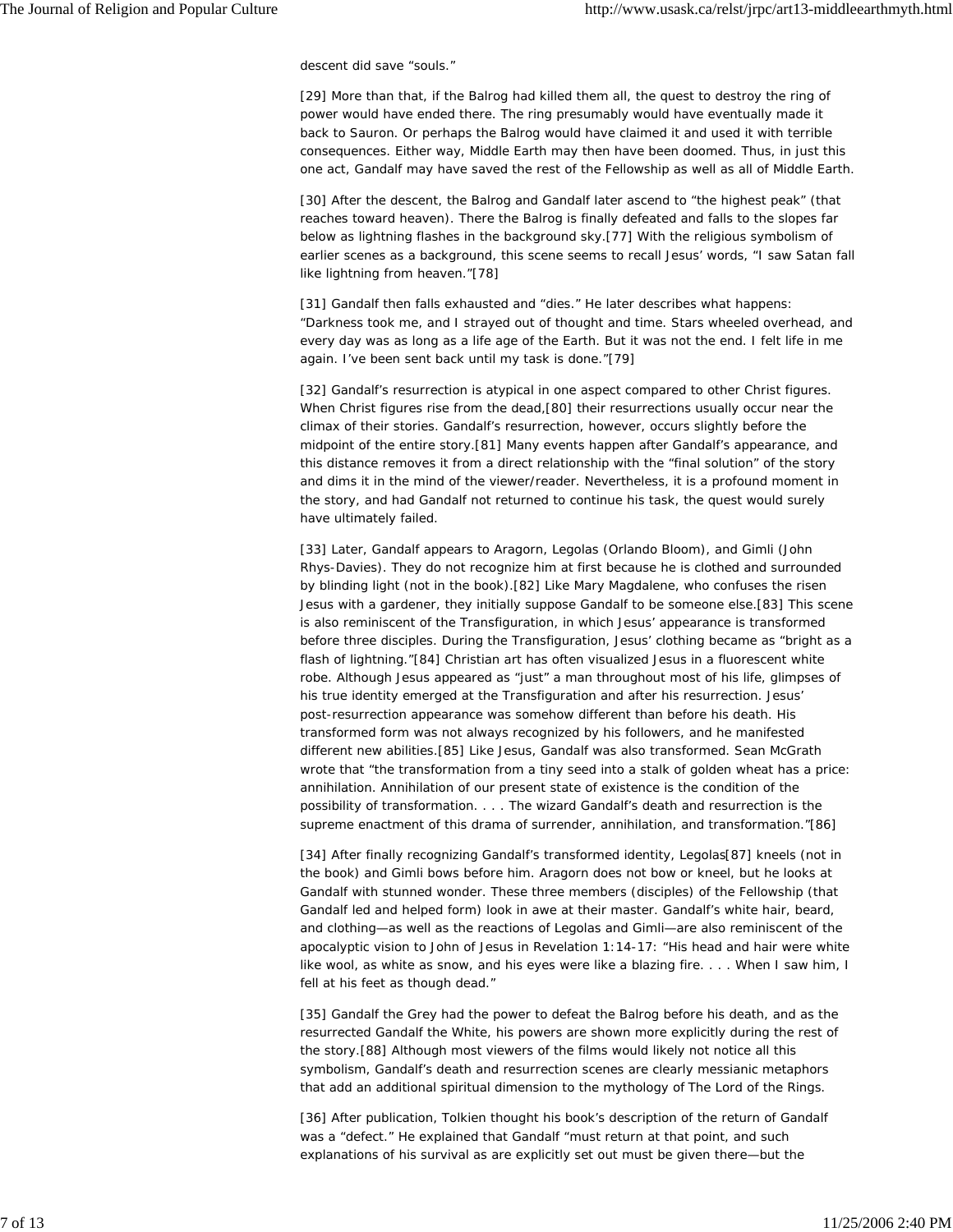descent did save "souls."

[29] More than that, if the Balrog had killed them all, the quest to destroy the ring of power would have ended there. The ring presumably would have eventually made it back to Sauron. Or perhaps the Balrog would have claimed it and used it with terrible consequences. Either way, Middle Earth may then have been doomed. Thus, in just this one act, Gandalf may have saved the rest of the Fellowship as well as all of Middle Earth.

[30] After the descent, the Balrog and Gandalf later ascend to "the highest peak" (that reaches toward heaven). There the Balrog is finally defeated and falls to the slopes far below as lightning flashes in the background sky.[77] With the religious symbolism of earlier scenes as a background, this scene seems to recall Jesus' words, "I saw Satan fall like lightning from heaven."[78]

[31] Gandalf then falls exhausted and "dies." He later describes what happens: "Darkness took me, and I strayed out of thought and time. Stars wheeled overhead, and every day was as long as a life age of the Earth. But it was not the end. I felt life in me again. I've been sent back until my task is done."[79]

[32] Gandalf's resurrection is atypical in one aspect compared to other Christ figures. When Christ figures rise from the dead,[80] their resurrections usually occur near the climax of their stories. Gandalf's resurrection, however, occurs slightly before the midpoint of the entire story.[81] Many events happen after Gandalf's appearance, and this distance removes it from a direct relationship with the "final solution" of the story and dims it in the mind of the viewer/reader. Nevertheless, it is a profound moment in the story, and had Gandalf not returned to continue his task, the quest would surely have ultimately failed.

[33] Later, Gandalf appears to Aragorn, Legolas (Orlando Bloom), and Gimli (John Rhys-Davies). They do not recognize him at first because he is clothed and surrounded by blinding light (not in the book).[82] Like Mary Magdalene, who confuses the risen Jesus with a gardener, they initially suppose Gandalf to be someone else.[83] This scene is also reminiscent of the Transfiguration, in which Jesus' appearance is transformed before three disciples. During the Transfiguration, Jesus' clothing became as "bright as a flash of lightning."[84] Christian art has often visualized Jesus in a fluorescent white robe. Although Jesus appeared as "just" a man throughout most of his life, glimpses of his true identity emerged at the Transfiguration and after his resurrection. Jesus' post-resurrection appearance was somehow different than before his death. His transformed form was not always recognized by his followers, and he manifested different new abilities.[85] Like Jesus, Gandalf was also transformed. Sean McGrath wrote that "the transformation from a tiny seed into a stalk of golden wheat has a price: annihilation. Annihilation of our present state of existence is the condition of the possibility of transformation. . . . The wizard Gandalf's death and resurrection is the supreme enactment of this drama of surrender, annihilation, and transformation."[86]

[34] After finally recognizing Gandalf's transformed identity, Legolas[87] kneels (not in the book) and Gimli bows before him. Aragorn does not bow or kneel, but he looks at Gandalf with stunned wonder. These three members (disciples) of the Fellowship (that Gandalf led and helped form) look in awe at their master. Gandalf's white hair, beard, and clothing—as well as the reactions of Legolas and Gimli—are also reminiscent of the apocalyptic vision to John of Jesus in Revelation 1:14-17: "His head and hair were white like wool, as white as snow, and his eyes were like a blazing fire. . . . When I saw him, I fell at his feet as though dead."

[35] Gandalf the Grey had the power to defeat the Balrog before his death, and as the resurrected Gandalf the White, his powers are shown more explicitly during the rest of the story.[88] Although most viewers of the films would likely not notice all this symbolism, Gandalf's death and resurrection scenes are clearly messianic metaphors that add an additional spiritual dimension to the mythology of *The Lord of the Rings*.

[36] After publication, Tolkien thought his book's description of the return of Gandalf was a "defect." He explained that Gandalf "must return at that point, and such explanations of his survival as are explicitly set out must be given there—but the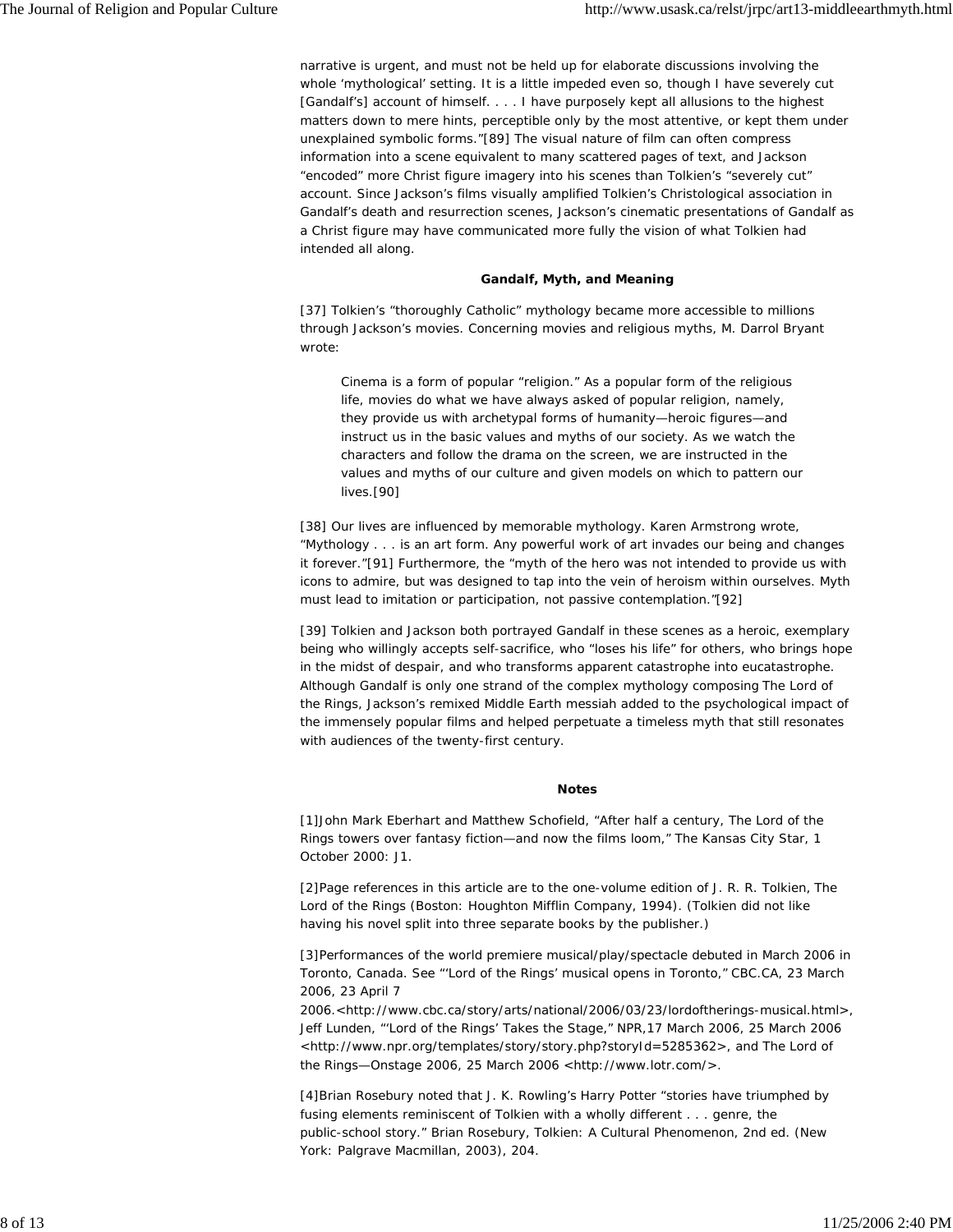narrative is urgent, and must not be held up for elaborate discussions involving the whole 'mythological' setting. It is a little impeded even so, though I have severely cut [Gandalf's] account of himself. . . . I have purposely kept all allusions to the highest matters down to mere hints, perceptible only by the most attentive, or kept them under unexplained symbolic forms."[89] The visual nature of film can often compress information into a scene equivalent to many scattered pages of text, and Jackson "encoded" more Christ figure imagery into his scenes than Tolkien's "severely cut" account. Since Jackson's films visually amplified Tolkien's Christological association in Gandalf's death and resurrection scenes, Jackson's cinematic presentations of Gandalf as a Christ figure may have communicated more fully the vision of what Tolkien had intended all along.

#### *Gandalf, Myth, and Meaning*

[37] Tolkien's "thoroughly Catholic" mythology became more accessible to millions through Jackson's movies. Concerning movies and religious myths, M. Darrol Bryant wrote:

Cinema is a form of popular "religion." As a popular form of the religious life, movies do what we have always asked of popular religion, namely, they provide us with archetypal forms of humanity—heroic figures—and instruct us in the basic values and myths of our society. As we watch the characters and follow the drama on the screen, we are instructed in the values and myths of our culture and given models on which to pattern our lives.[90]

[38] Our lives are influenced by memorable mythology. Karen Armstrong wrote, "Mythology . . . is an art form. Any powerful work of art invades our being and changes it forever."[91] Furthermore, the "myth of the hero was not intended to provide us with icons to admire, but was designed to tap into the vein of heroism within ourselves. Myth must lead to imitation or participation, not passive contemplation."[92]

[39] Tolkien and Jackson both portrayed Gandalf in these scenes as a heroic, exemplary being who willingly accepts self-sacrifice, who "loses his life" for others, who brings hope in the midst of despair, and who transforms apparent catastrophe into eucatastrophe. Although Gandalf is only one strand of the complex mythology composing *The Lord of the Rings*, Jackson's remixed Middle Earth messiah added to the psychological impact of the immensely popular films and helped perpetuate a timeless myth that still resonates with audiences of the twenty-first century.

#### *Notes*

[1]John Mark Eberhart and Matthew Schofield, "After half a century, The Lord of the Rings towers over fantasy fiction—and now the films loom," *The Kansas City Star*, 1 October 2000: J1.

[2]Page references in this article are to the one-volume edition of J. R. R. Tolkien, *The Lord of the Rings* (Boston: Houghton Mifflin Company, 1994). (Tolkien did not like having his novel split into three separate books by the publisher.)

[3]Performances of the world premiere musical/play/spectacle debuted in March 2006 in Toronto, Canada. See "'Lord of the Rings' musical opens in Toronto," *CBC.CA*, 23 March 2006, 23 April 7

2006.<http://www.cbc.ca/story/arts/national/2006/03/23/lordoftherings-musical.html>, Jeff Lunden, "'Lord of the Rings' Takes the Stage," *NPR*,17 March 2006, 25 March 2006 <http://www.npr.org/templates/story/story.php?storyId=5285362>, and *The Lord of the Rings—Onstage* 2006, 25 March 2006 <http://www.lotr.com/>.

[4]Brian Rosebury noted that J. K. Rowling's *Harry Potter* "stories have triumphed by fusing elements reminiscent of Tolkien with a wholly different . . . genre, the public-school story." Brian Rosebury, *Tolkien: A Cultural Phenomenon*, 2nd ed. (New York: Palgrave Macmillan, 2003), 204.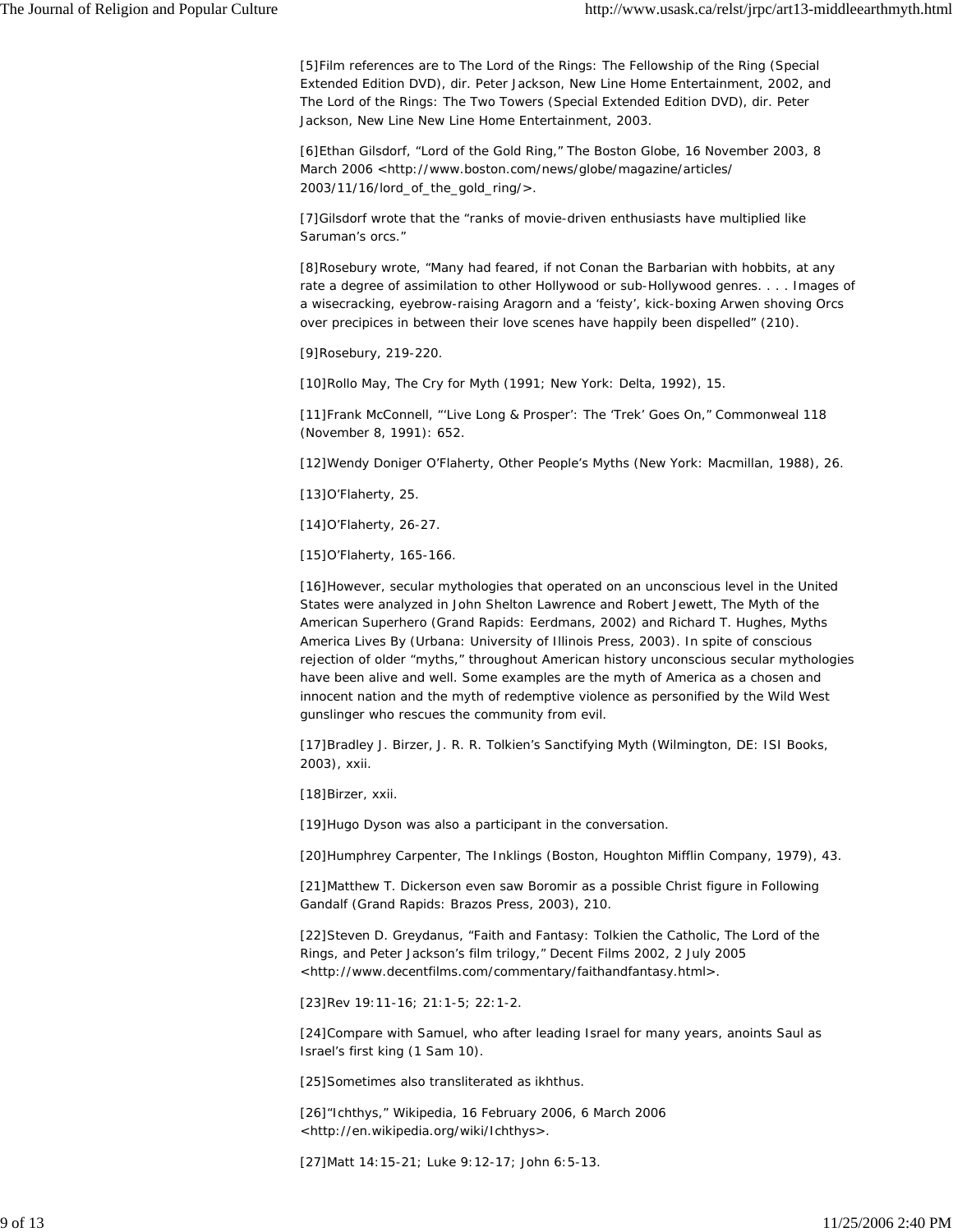[5]Film references are to *The Lord of the Rings: The Fellowship of the Ring (Special Extended Edition DVD)*, dir. Peter Jackson, New Line Home Entertainment, 2002, and *The Lord of the Rings: The Two Towers (Special Extended Edition DVD)*, dir. Peter Jackson, New Line New Line Home Entertainment, 2003.

[6]Ethan Gilsdorf, "Lord of the Gold Ring," *The Boston Globe*, 16 November 2003, 8 March 2006 <http://www.boston.com/news/globe/magazine/articles/ 2003/11/16/lord\_of\_the\_gold\_ring/>.

[7]Gilsdorf wrote that the "ranks of movie-driven enthusiasts have multiplied like Saruman's orcs."

[8]Rosebury wrote, "Many had feared, if not *Conan the Barbarian* with hobbits, at any rate a degree of assimilation to other Hollywood or sub-Hollywood genres. . . . Images of a wisecracking, eyebrow-raising Aragorn and a 'feisty', kick-boxing Arwen shoving Orcs over precipices in between their love scenes have happily been dispelled" (210).

[9]Rosebury, 219-220.

[10]Rollo May, *The Cry for Myth* (1991; New York: Delta, 1992), 15.

[11]Frank McConnell, "'Live Long & Prosper': The 'Trek' Goes On," *Commonweal* 118 (November 8, 1991): 652.

[12]Wendy Doniger O'Flaherty, *Other People's Myths* (New York: Macmillan, 1988), 26.

[13]O'Flaherty, 25.

[14]O'Flaherty, 26-27.

[15]O'Flaherty, 165-166.

[16]However, secular mythologies that operated on an unconscious level in the United States were analyzed in John Shelton Lawrence and Robert Jewett, *The Myth of the American Superhero* (Grand Rapids: Eerdmans, 2002) and Richard T. Hughes, *Myths America Lives By* (Urbana: University of Illinois Press, 2003). In spite of conscious rejection of older "myths," throughout American history unconscious secular mythologies have been alive and well. Some examples are the myth of America as a chosen and innocent nation and the myth of redemptive violence as personified by the Wild West gunslinger who rescues the community from evil.

[17]Bradley J. Birzer, *J. R. R. Tolkien's Sanctifying Myth* (Wilmington, DE: ISI Books, 2003), xxii.

[18]Birzer, xxii.

[19]Hugo Dyson was also a participant in the conversation.

[20]Humphrey Carpenter, *The Inklings* (Boston, Houghton Mifflin Company, 1979), 43.

[21]Matthew T. Dickerson even saw Boromir as a possible Christ figure in *Following Gandalf* (Grand Rapids: Brazos Press, 2003), 210.

[22]Steven D. Greydanus, "Faith and Fantasy: Tolkien the Catholic, *The Lord of the Rings*, and Peter Jackson's film trilogy," *Decent Films* 2002, 2 July 2005 <http://www.decentfilms.com/commentary/faithandfantasy.html>.

[23]Rev 19:11-16; 21:1-5; 22:1-2.

[24]Compare with Samuel, who after leading Israel for many years, anoints Saul as Israel's first king (1 Sam 10).

[25]Sometimes also transliterated as *ikhthus*.

[26]"Ichthys," *Wikipedia*, 16 February 2006, 6 March 2006 <http://en.wikipedia.org/wiki/Ichthys>.

[27]Matt 14:15-21; Luke 9:12-17; John 6:5-13.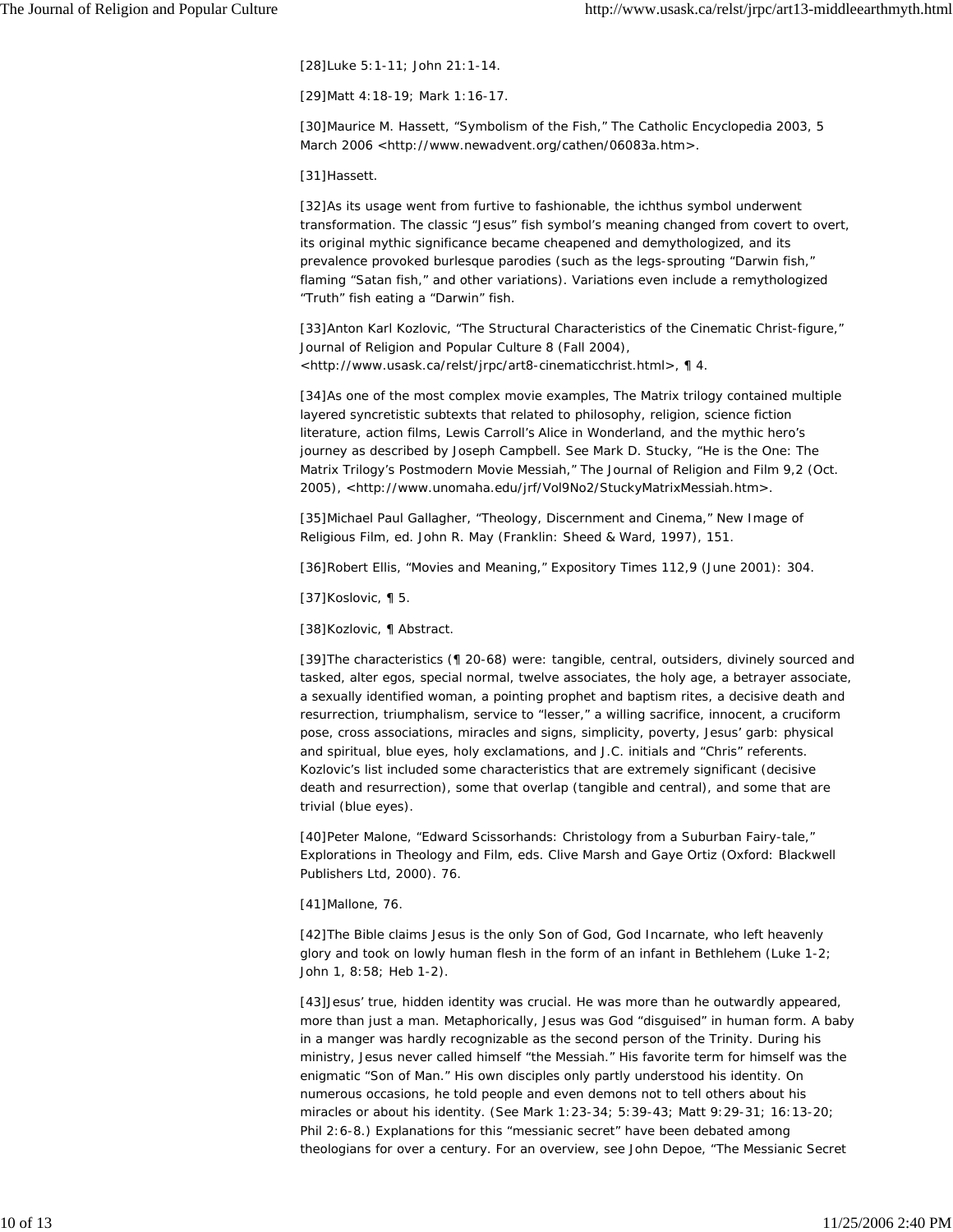[28]Luke 5:1-11; John 21:1-14.

[29]Matt 4:18-19; Mark 1:16-17.

[30]Maurice M. Hassett, "Symbolism of the Fish," *The Catholic Encyclopedia* 2003, 5 March 2006 <http://www.newadvent.org/cathen/06083a.htm>.

[31]Hassett.

[32]As its usage went from furtive to fashionable, the *ichthus* symbol underwent transformation. The classic "Jesus" fish symbol's meaning changed from covert to overt, its original mythic significance became cheapened and demythologized, and its prevalence provoked burlesque parodies (such as the legs-sprouting "Darwin fish," flaming "Satan fish," and other variations). Variations even include a remythologized "Truth" fish eating a "Darwin" fish.

[33]Anton Karl Kozlovic, "The Structural Characteristics of the Cinematic Christ-figure," *Journal of Religion and Popular Culture* 8 (Fall 2004), <http://www.usask.ca/relst/jrpc/art8-cinematicchrist.html>, ¶ 4.

[34]As one of the most complex movie examples, *The Matrix* trilogy contained multiple layered syncretistic subtexts that related to philosophy, religion, science fiction literature, action films, Lewis Carroll's *Alice in Wonderland*, and the mythic hero's journey as described by Joseph Campbell. See Mark D. Stucky, "He is the One: *The Matrix* Trilogy's Postmodern Movie Messiah," *The Journal of Religion and Film* 9,2 (Oct. 2005), <http://www.unomaha.edu/jrf/Vol9No2/StuckyMatrixMessiah.htm>.

[35]Michael Paul Gallagher, "Theology, Discernment and Cinema," *New Image of Religious Film*, ed. John R. May (Franklin: Sheed & Ward, 1997), 151.

[36]Robert Ellis, "Movies and Meaning," *Expository Times* 112,9 (June 2001): 304.

[37]Koslovic, ¶ 5.

[38]Kozlovic, ¶ Abstract.

[39]The characteristics (¶ 20-68) were: tangible, central, outsiders, divinely sourced and tasked, alter egos, special normal, twelve associates, the holy age, a betrayer associate, a sexually identified woman, a pointing prophet and baptism rites, a decisive death and resurrection, triumphalism, service to "lesser," a willing sacrifice, innocent, a cruciform pose, cross associations, miracles and signs, simplicity, poverty, Jesus' garb: physical and spiritual, blue eyes, holy exclamations, and J.C. initials and "Chris" referents. Kozlovic's list included some characteristics that are extremely significant (decisive death and resurrection), some that overlap (tangible and central), and some that are trivial (blue eyes).

[40]Peter Malone, "*Edward Scissorhands*: Christology from a Suburban Fairy-tale," *Explorations in Theology and Film*, eds. Clive Marsh and Gaye Ortiz (Oxford: Blackwell Publishers Ltd, 2000). 76.

[41]Mallone, 76.

[42]The Bible claims Jesus is the only Son of God, God Incarnate, who left heavenly glory and took on lowly human flesh in the form of an infant in Bethlehem (Luke 1-2; John 1, 8:58; Heb 1-2).

[43]Jesus' true, hidden identity was crucial. He was more than he outwardly appeared, more than just a man. Metaphorically, Jesus was God "disguised" in human form. A baby in a manger was hardly recognizable as the second person of the Trinity. During his ministry, Jesus never called himself "the Messiah." His favorite term for himself was the enigmatic "Son of Man." His own disciples only partly understood his identity. On numerous occasions, he told people and even demons not to tell others about his miracles or about his identity. (See Mark 1:23-34; 5:39-43; Matt 9:29-31; 16:13-20; Phil 2:6-8.) Explanations for this "messianic secret" have been debated among theologians for over a century. For an overview, see John Depoe, "The Messianic Secret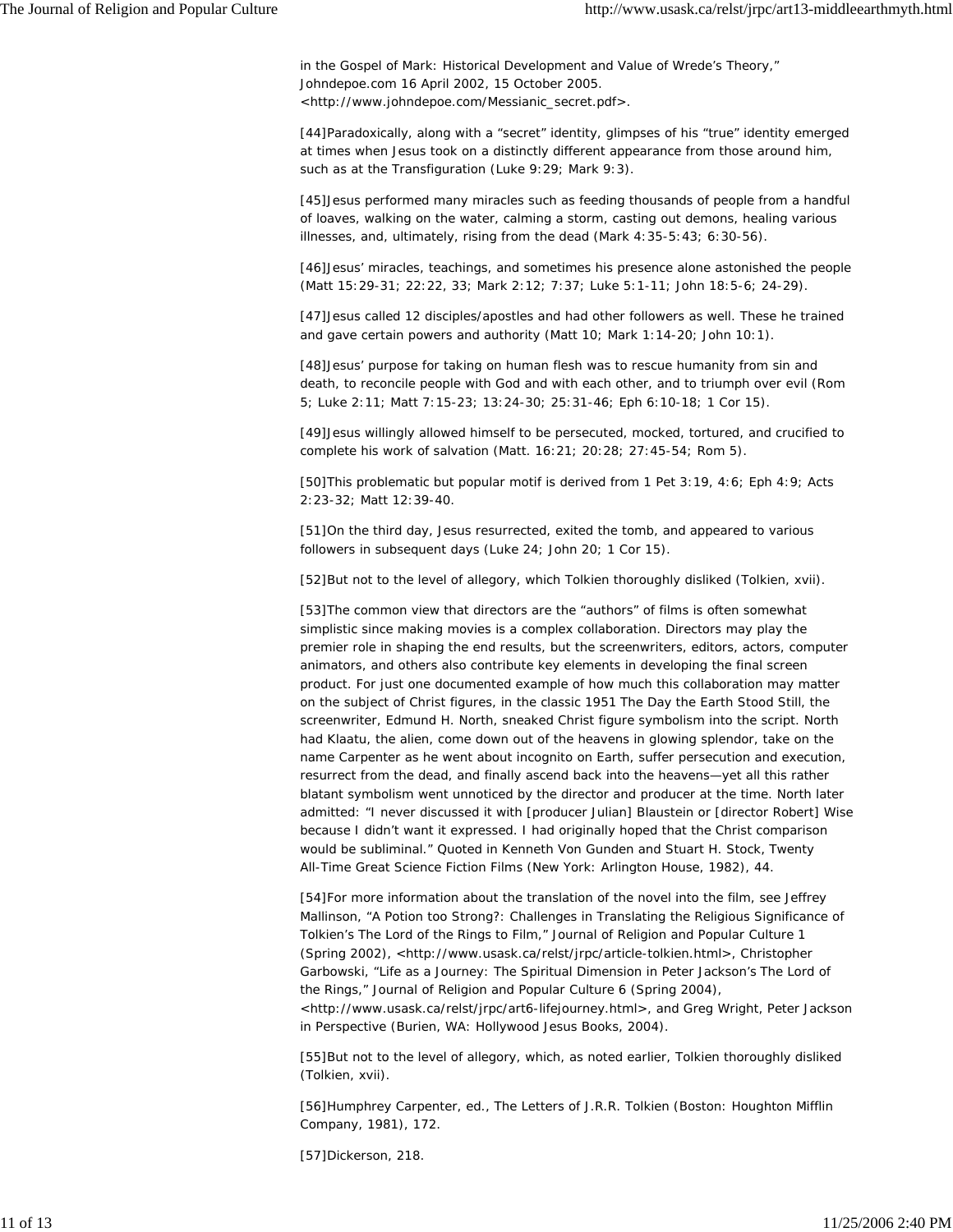in the Gospel of Mark: Historical Development and Value of Wrede's Theory," *Johndepoe.com* 16 April 2002, 15 October 2005. <http://www.johndepoe.com/Messianic\_secret.pdf>.

[44]Paradoxically, along with a "secret" identity, glimpses of his "true" identity emerged at times when Jesus took on a distinctly different appearance from those around him, such as at the Transfiguration (Luke 9:29; Mark 9:3).

[45]Jesus performed many miracles such as feeding thousands of people from a handful of loaves, walking on the water, calming a storm, casting out demons, healing various illnesses, and, ultimately, rising from the dead (Mark 4:35-5:43; 6:30-56).

[46]Jesus' miracles, teachings, and sometimes his presence alone astonished the people (Matt 15:29-31; 22:22, 33; Mark 2:12; 7:37; Luke 5:1-11; John 18:5-6; 24-29).

[47]Jesus called 12 disciples/apostles and had other followers as well. These he trained and gave certain powers and authority (Matt 10; Mark 1:14-20; John 10:1).

[48]Jesus' purpose for taking on human flesh was to rescue humanity from sin and death, to reconcile people with God and with each other, and to triumph over evil (Rom 5; Luke 2:11; Matt 7:15-23; 13:24-30; 25:31-46; Eph 6:10-18; 1 Cor 15).

[49]Jesus willingly allowed himself to be persecuted, mocked, tortured, and crucified to complete his work of salvation (Matt. 16:21; 20:28; 27:45-54; Rom 5).

[50]This problematic but popular motif is derived from 1 Pet 3:19, 4:6; Eph 4:9; Acts 2:23-32; Matt 12:39-40.

[51]On the third day, Jesus resurrected, exited the tomb, and appeared to various followers in subsequent days (Luke 24; John 20; 1 Cor 15).

[52]But not to the level of allegory, which Tolkien thoroughly disliked (Tolkien, xvii).

[53]The common view that directors are the "authors" of films is often somewhat simplistic since making movies is a complex collaboration. Directors may play the premier role in shaping the end results, but the screenwriters, editors, actors, computer animators, and others also contribute key elements in developing the final screen product. For just one documented example of how much this collaboration may matter on the subject of Christ figures, in the classic 1951 *The Day the Earth Stood Still*, the screenwriter, Edmund H. North, sneaked Christ figure symbolism into the script. North had Klaatu, the alien, come down out of the heavens in glowing splendor, take on the name Carpenter as he went about incognito on Earth, suffer persecution and execution, resurrect from the dead, and finally ascend back into the heavens—yet all this rather blatant symbolism went unnoticed by the director and producer at the time. North later admitted: "I never discussed it with [producer Julian] Blaustein or [director Robert] Wise because I didn't want it expressed. I had originally hoped that the Christ comparison would be subliminal." Quoted in Kenneth Von Gunden and Stuart H. Stock, *Twenty All-Time Great Science Fiction Films* (New York: Arlington House, 1982), 44.

[54]For more information about the translation of the novel into the film, see Jeffrey Mallinson, "A Potion too Strong?: Challenges in Translating the Religious Significance of Tolkien's *The Lord of the Rings* to Film," *Journal of Religion and Popular Culture* 1 (Spring 2002), <http://www.usask.ca/relst/jrpc/article-tolkien.html>, Christopher Garbowski, "Life as a Journey: The Spiritual Dimension in Peter Jackson's *The Lord of the Rings*," *Journal of Religion and Popular Culture* 6 (Spring 2004), <http://www.usask.ca/relst/jrpc/art6-lifejourney.html>, and Greg Wright, *Peter Jackson in Perspective* (Burien, WA: Hollywood Jesus Books, 2004).

[55]But not to the level of allegory, which, as noted earlier, Tolkien thoroughly disliked (Tolkien, xvii).

[56]Humphrey Carpenter, ed., *The Letters of J.R.R. Tolkien* (Boston: Houghton Mifflin Company, 1981), 172.

[57]Dickerson, 218.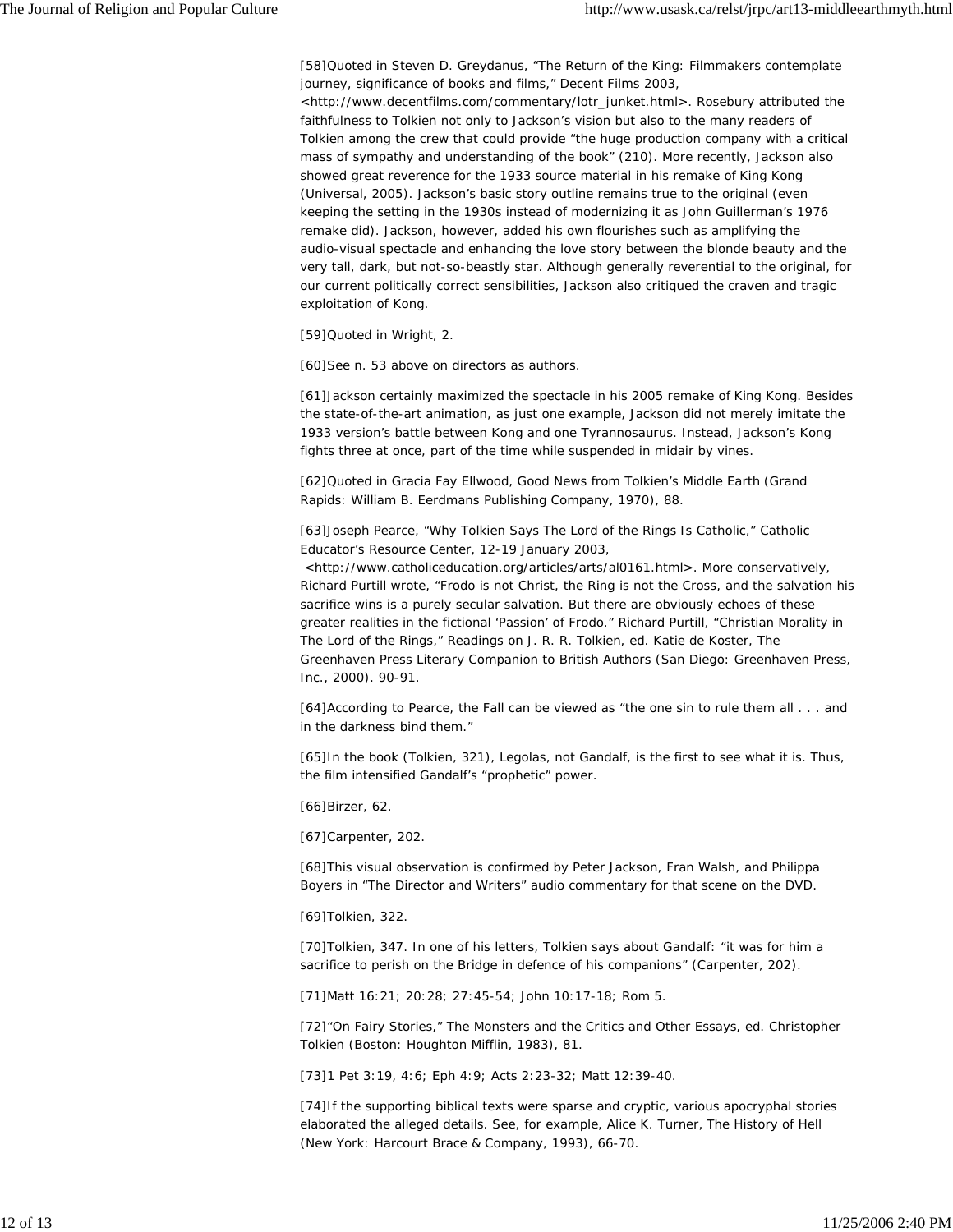[58]Quoted in Steven D. Greydanus, "The Return of the King: Filmmakers contemplate journey, significance of books and films," *Decent Films* 2003,

<http://www.decentfilms.com/commentary/lotr\_junket.html>. Rosebury attributed the faithfulness to Tolkien not only to Jackson's vision but also to the many readers of Tolkien among the crew that could provide "the huge production company with a critical mass of sympathy and understanding of the book" (210). More recently, Jackson also showed great reverence for the 1933 source material in his remake of *King Kong* (Universal, 2005). Jackson's basic story outline remains true to the original (even keeping the setting in the 1930s instead of modernizing it as John Guillerman's 1976 remake did). Jackson, however, added his own flourishes such as amplifying the audio-visual spectacle and enhancing the love story between the blonde beauty and the very tall, dark, but not-so-beastly star. Although generally reverential to the original, for our current politically correct sensibilities, Jackson also critiqued the craven and tragic exploitation of Kong.

[59]Quoted in Wright, 2.

[60]See n. 53 above on directors as authors.

[61]Jackson certainly maximized the spectacle in his 2005 remake of *King Kong*. Besides the state-of-the-art animation, as just one example, Jackson did not merely imitate the 1933 version's battle between Kong and *one* Tyrannosaurus. Instead, Jackson's Kong fights *three* at once, part of the time while suspended in midair by vines.

[62]Quoted in Gracia Fay Ellwood, *Good News from Tolkien's Middle Earth* (Grand Rapids: William B. Eerdmans Publishing Company, 1970), 88.

[63]Joseph Pearce, "Why Tolkien Says *The Lord of the Rings* Is Catholic," *Catholic Educator's Resource Center*, 12-19 January 2003,

 <http://www.catholiceducation.org/articles/arts/al0161.html>. More conservatively, Richard Purtill wrote, "Frodo is not Christ, the Ring is not the Cross, and the salvation his sacrifice wins is a purely secular salvation. But there are obviously echoes of these greater realities in the fictional 'Passion' of Frodo." Richard Purtill, "Christian Morality in The Lord of the Rings," *Readings on J. R. R. Tolkien*, ed. Katie de Koster, The Greenhaven Press Literary Companion to British Authors (San Diego: Greenhaven Press, Inc., 2000). 90-91.

[64]According to Pearce, the Fall can be viewed as "the one sin to rule them all . . . and in the darkness bind them."

[65]In the book (Tolkien, 321), Legolas, not Gandalf, is the first to see what it is. Thus, the film intensified Gandalf's "prophetic" power.

[66]Birzer, 62.

[67]Carpenter, 202.

[68]This visual observation is confirmed by Peter Jackson, Fran Walsh, and Philippa Boyers in "The Director and Writers" audio commentary for that scene on the DVD.

[69]Tolkien, 322.

[70]Tolkien, 347. In one of his letters, Tolkien says about Gandalf: "it was for him a sacrifice to perish on the Bridge in defence of his companions" (Carpenter, 202).

[71]Matt 16:21; 20:28; 27:45-54; John 10:17-18; Rom 5.

[72]"On Fairy Stories," *The Monsters and the Critics and Other Essays*, ed. Christopher Tolkien (Boston: Houghton Mifflin, 1983), 81.

[73]1 Pet 3:19, 4:6; Eph 4:9; Acts 2:23-32; Matt 12:39-40.

[74]If the supporting biblical texts were sparse and cryptic, various apocryphal stories elaborated the alleged details. See, for example, Alice K. Turner, *The History of Hell* (New York: Harcourt Brace & Company, 1993), 66-70.